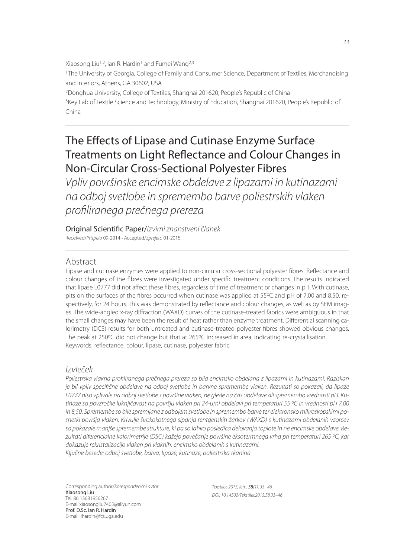Xiaosong Liu<sup>1,2</sup>, lan R. Hardin<sup>1</sup> and Fumei Wang<sup>2,3</sup> <sup>1</sup>The University of Georgia, College of Family and Consumer Science, Department of Textiles, Merchandising and Interiors, Athens, GA 30602, USA <sup>2</sup>Donghua University, College of Textiles, Shanghai 201620, People's Republic of China <sup>3</sup>Key Lab of Textile Science and Technology, Ministry of Education, Shanghai 201620, People's Republic of China

# The Effects of Lipase and Cutinase Enzyme Surface Treatments on Light Reflectance and Colour Changes in Non-Circular Cross-Sectional Polyester Fibres

*Vpliv površinske encimske obdelave z lipazami in kutinazami na odboj svetlobe in spremembo barve poliestrskih vlaken profi liranega prečnega prereza*

Original Scientific Paper/*Izvirni znanstveni članek* Received/*Prispelo* 09-2014 • Accepted/*Sprejeto* 01-2015

## Abstract

Lipase and cutinase enzymes were applied to non-circular cross-sectional polyester fibres. Reflectance and colour changes of the fibres were investigated under specific treatment conditions. The results indicated that lipase L0777 did not affect these fibres, regardless of time of treatment or changes in pH. With cutinase, pits on the surfaces of the fibres occurred when cutinase was applied at 55°C and pH of 7.00 and 8.50, respectively, for 24 hours. This was demonstrated by reflectance and colour changes, as well as by SEM images. The wide-angled x-ray diffraction (WAXD) curves of the cutinase-treated fabrics were ambiguous in that the small changes may have been the result of heat rather than enzyme treatment. Differential scanning calorimetry (DCS) results for both untreated and cutinase-treated polyester fibres showed obvious changes. The peak at 250 $\degree$ C did not change but that at 265 $\degree$ C increased in area, indicating re-crystallisation. Keywords: reflectance, colour, lipase, cutinase, polyester fabric

## *Izvleček*

Poliestrska vlakna profiliranega prečnega prereza so bila encimsko obdelana z lipazami in kutinazami. Raziskan *je bil vpliv specifi čne obdelave na odboj svetlobe in barvne spremembe vlaken. Rezultati so pokazali, da lipaze L0777 niso vplivale na odboj svetlobe s površine vlaken, ne glede na čas obdelave ali spremembo vrednosti pH. Kutinaze so povzročile luknjičavost na površju vlaken pri 24-urni obdelavi pri temperaturi 55 <sup>o</sup>C in vrednosti pH 7,00 in 8,50. Spremembe so bile spremljane z odbojem svetlobe in spremembo barve ter elektronsko mikroskopskimi posnetki površja vlaken. Krivulje širokokotnega sipanja rentgenskih žarkov (WAXD) s kutinazami obdelanih vzorcev so pokazale manjše spremembe strukture, ki pa so lahko posledica delovanja toplote in ne encimske obdelave. Rezultati diferencialne kalorimetrije (DSC) kažejo povečanje površine eksotermnega vrha pri temperaturi 265 <sup>o</sup>C, kar dokazuje rekristalizacijo vlaken pri vlaknih, encimsko obdelanih s kutinazami. Ključne besede: odboj svetlobe, barva, lipaze, kutinaze, poliestrska tkanina*

Corresponding author/*Korespondenčni avtor:* Xiaosong Liu Tel. 86 13681956267 E-mail:xiaosongliu7405@aliyun.com Prof. D.Sc. Ian R. Hardin E-mail: ihardin@fcs.uga.edu

*Tekstilec 2015, letn.* 58*(1), 33−46 DOI: 10.14502/Tekstilec2015.58.33–46*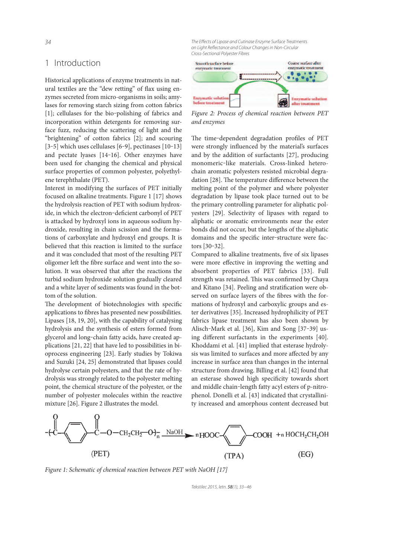## 1 Introduction

Historical applications of enzyme treatments in natural textiles are the "dew retting" of flax using enzymes secreted from micro-organisms in soils; amylases for removing starch sizing from cotton fabrics [1]; cellulases for the bio-polishing of fabrics and incorporation within detergents for removing surface fuzz, reducing the scattering of light and the "brightening" of cotton fabrics [2]; and scouring [3–5] which uses cellulases [6–9], pectinases  $[10-13]$ and pectate lyases [14-16]. Other enzymes have been used for changing the chemical and physical surface properties of common polyester, polyethylene terephthalate (PET).

Interest in modifying the surfaces of PET initially focused on alkaline treatments. Figure 1 [17] shows the hydrolysis reaction of PET with sodium hydroxide, in which the electron-deficient carbonyl of PET is attacked by hydroxyl ions in aqueous sodium hydroxide, resulting in chain scission and the formations of carboxylate and hydroxyl end groups. It is believed that this reaction is limited to the surface and it was concluded that most of the resulting PET oligomer left the fibre surface and went into the solution. It was observed that after the reactions the turbid sodium hydroxide solution gradually cleared and a white layer of sediments was found in the bottom of the solution.

The development of biotechnologies with specific applications to fibres has presented new possibilities. Lipases [18, 19, 20], with the capability of catalysing hydrolysis and the synthesis of esters formed from glycerol and long-chain fatty acids, have created applications [21, 22] that have led to possibilities in bioprocess engineering [23]. Early studies by Tokiwa and Suzuki [24, 25] demonstrated that lipases could hydrolyse certain polyesters, and that the rate of hydrolysis was strongly related to the polyester melting point, the chemical structure of the polyester, or the number of polyester molecules within the reactive mixture [26]. Figure 2 illustrates the model.

*The Effects of Lipase and Cutinase Enzyme Surface Treatments* on Light Reflectance and Colour Changes in Non-Circular *Cross-Sectional Polyester Fibres*



Figure 2: Process of chemical reaction between PET and enzymes

The time-dependent degradation profiles of PET were strongly influenced by the material's surfaces and by the addition of surfactants [27], producing monomeric‒like materials. Cross-linked heterochain aromatic polyesters resisted microbial degradation [28]. The temperature difference between the melting point of the polymer and where polyester degradation by lipase took place turned out to be the primary controlling parameter for aliphatic polyesters [29]. Selectivity of lipases with regard to aliphatic or aromatic environments near the ester bonds did not occur, but the lengths of the aliphatic domains and the specific inter-structure were factors [30‒32].

Compared to alkaline treatments, five of six lipases were more effective in improving the wetting and absorbent properties of PET fabrics [33]. Full strength was retained. This was confirmed by Chaya and Kitano [34]. Peeling and stratification were observed on surface layers of the fibres with the formations of hydroxyl and carboxylic groups and ester derivatives [35]. Increased hydrophilicity of PET fabrics lipase treatment has also been shown by Alisch-Mark et al. [36], Kim and Song [37-39] using different surfactants in the experiments [40]. Khoddami et al. [41] implied that esterase hydrolysis was limited to surfaces and more affected by any increase in surface area than changes in the internal structure from drawing. Billing et al. [42] found that an esterase showed high specificity towards short and middle chain-length fatty acyl esters of p-nitrophenol. Donelli et al. [43] indicated that crystallinity increased and amorphous content decreased but



Figure 1: Schematic of chemical reaction between PET with NaOH [17]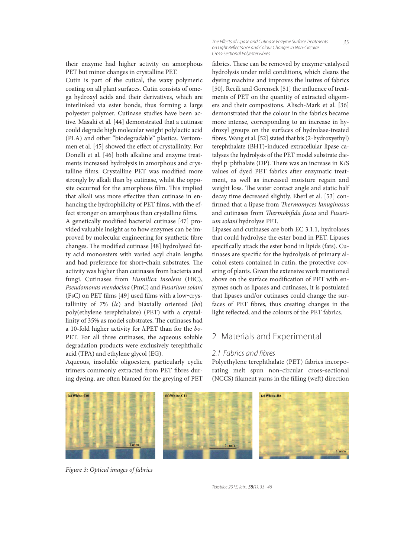*35 The Eff ects of Lipase and Cutinase Enzyme Surface Treatments on Light Refl ectance and Colour Changes in Non-Circular Cross-Sectional Polyester Fibres*

their enzyme had higher activity on amorphous PET but minor changes in crystalline PET.

Cutin is part of the cutical, the waxy polymeric coating on all plant surfaces. Cutin consists of omega hydroxyl acids and their derivatives, which are interlinked via ester bonds, thus forming a large polyester polymer. Cutinase studies have been active. Masaki et al. [44] demonstrated that a cutinase could degrade high molecular weight polylactic acid (PLA) and other "biodegradable" plastics. Vertommen et al. [45] showed the effect of crystallinity. For Donelli et al. [46] both alkaline and enzyme treatments increased hydrolysis in amorphous and crystalline films. Crystalline PET was modified more strongly by alkali than by cutinase, whilst the opposite occurred for the amorphous film. This implied that alkali was more effective than cutinase in enhancing the hydrophilicity of PET films, with the effect stronger on amorphous than crystalline films.

A genetically modified bacterial cutinase [47] provided valuable insight as to how enzymes can be improved by molecular engineering for synthetic fibre changes. The modified cutinase [48] hydrolysed fatty acid monoesters with varied acyl chain lengths and had preference for short-chain substrates. The activity was higher than cutinases from bacteria and fungi. Cutinases from Humilica insolens (HiC), Pseudomonas mendocina (PmC) and Fusarium solani (FsC) on PET films  $[49]$  used films with a low-crystallinity of 7%  $(lc)$  and biaxially oriented  $(bo)$ poly(ethylene terephthalate) (PET) with a crystallinity of 35% as model substrates. The cutinases had a 10-fold higher activity for lcPET than for the bo-PET. For all three cutinases, the aqueous soluble degradation products were exclusively terephthalic acid (TPA) and ethylene glycol (EG).

Aqueous, insoluble oligoesters, particularly cyclic trimers commonly extracted from PET fibres during dyeing, are often blamed for the greying of PET

fabrics. These can be removed by enzyme-catalysed hydrolysis under mild conditions, which cleans the dyeing machine and improves the lustres of fabrics [50]. Recili and Gorensek [51] the influence of treatments of PET on the quantity of extracted oligomers and their compositons. Alisch-Mark et al. [36] demonstrated that the colour in the fabrics became more intense, corresponding to an increase in hydroxyl groups on the surfaces of hydrolase-treated fibres. Wang et al. [52] stated that bis (2-hydroxyethyl) terephthalate (BHT)-induced extracellular lipase catalyses the hydrolysis of the PET model substrate diethyl p-phthalate (DP). There was an increase in K/S values of dyed PET fabrics after enzymatic treatment, as well as increased moisture regain and weight loss. The water contact angle and static half decay time decreased slightly. Eberl et al. [53] con firmed that a lipase from Thermomyces lanuginosus and cutinases from Thermobifida fusca and Fusarium solani hydrolyse PET.

Lipases and cutinases are both EC 3.1.1, hydrolases that could hydrolyse the ester bond in PET. Lipases specifically attack the ester bond in lipids (fats). Cutinases are specific for the hydrolysis of primary alcohol esters contained in cutin, the protective covering of plants. Given the extensive work mentioned above on the surface modification of PET with enzymes such as lipases and cutinases, it is postulated that lipases and/or cutinases could change the surfaces of PET fibres, thus creating changes in the light reflected, and the colours of the PET fabrics.

## 2 Materials and Experimental

#### *2.1 Fabrics and fi bres*

Polyethylene terephthalate (PET) fabrics incorporating melt spun non-circular cross-sectional (NCCS) filament yarns in the filling (weft) direction



Figure 3: Optical images of fabrics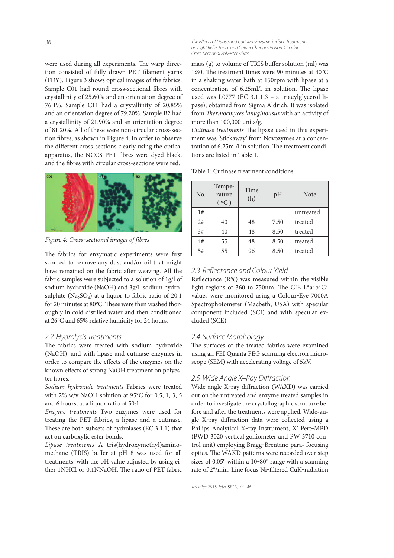were used during all experiments. The warp direction consisted of fully drawn PET filament yarns (FDY). Figure 3 shows optical images of the fabrics. Sample C01 had round cross-sectional fibres with crystallinity of 25.60% and an orientation degree of 76.1%. Sample C11 had a crystallinity of 20.85% and an orientation degree of 79.20%. Sample B2 had a crystallinity of 21.90% and an orientation degree of 81.20%. All of these were non-circular cross-section fibres, as shown in Figure 4. In order to observe the different cross-sections clearly using the optical apparatus, the NCCS PET fibres were dyed black, and the fibres with circular cross-sections were red.



Figure 4: Cross-sectional images of fibres

The fabrics for enzymatic experiments were first scoured to remove any dust and/or oil that might have remained on the fabric after weaving. All the fabric samples were subjected to a solution of 1g/l of sodium hydroxide (NaOH) and 3g/L sodium hydrosulphite  $(Na_2SO_4)$  at a liquor to fabric ratio of 20:1 for 20 minutes at 80 $^{\circ}$ C. These were then washed thoroughly in cold distilled water and then conditioned at 26°C and 65% relative humidity for 24 hours.

## *2.2 Hydrolysis Treatments*

The fabrics were treated with sodium hydroxide (NaOH), and with lipase and cutinase enzymes in order to compare the effects of the enzymes on the known effects of strong NaOH treatment on polyester fibres.

Sodium hydroxide treatments Fabrics were treated with 2% w/v NaOH solution at 95°C for 0.5, 1, 3, 5 and 6 hours, at a liquor ratio of 50:1.

Enzyme treatments Two enzymes were used for treating the PET fabrics, a lipase and a cutinase. These are both subsets of hydrolases (EC  $3.1.1$ ) that act on carboxylic ester bonds.

Lipase treatments A tris(hydroxymethyl)aminomethane (TRIS) buffer at pH 8 was used for all treatments, with the pH value adjusted by using either 1NHCl or 0.1NNaOH. The ratio of PET fabric

*The Eff ects of Lipase and Cutinase Enzyme Surface Treatments*  on Light Reflectance and Colour Changes in Non-Circular *Cross-Sectional Polyester Fibres*

mass (g) to volume of TRIS buffer solution (ml) was 1:80. The treatment times were 90 minutes at  $40^{\circ}$ C in a shaking water bath at 150rpm with lipase at a concentration of  $6.25$ ml/l in solution. The lipase used was L0777 (EC 3.1.1.3 – a triacylglycerol lipase), obtained from Sigma Aldrich. It was isolated from Thermocmyces lanuginousus with an activity of more than 100,000 units/g.

Cutinase treatments The lipase used in this experiment was 'Stickaway' from Novozymes at a concentration of 6.25ml/l in solution. The treatment conditions are listed in Table 1.

Table 1: Cutinase treatment conditions

| No. | Tempe-<br>rature<br>(°C) | Time<br>(h) | pH   | <b>Note</b> |
|-----|--------------------------|-------------|------|-------------|
| 1#  |                          |             |      | untreated   |
| 2#  | 40                       | 48          | 7.50 | treated     |
| 3#  | 40                       | 48          | 8.50 | treated     |
| 4#  | 55                       | 48          | 8.50 | treated     |
| 5#  | 55                       | 96          | 8.50 | treated     |

#### 2.3 Reflectance and Colour Yield

Reflectance  $(R\%)$  was measured within the visible light regions of 360 to 750nm. The CIE L\*a\*b\*C\* values were monitored using a Colour-Eye 7000A Spectrophotometer (Macbeth, USA) with specular component included (SCI) and with specular excluded (SCE).

#### *2.4 Surface Morphology*

The surfaces of the treated fabrics were examined using an FEI Quanta FEG scanning electron microscope (SEM) with accelerating voltage of 5kV.

#### *2.5 Wide Angle X–Ray Diff raction*

Wide angle X-ray diffraction (WAXD) was carried out on the untreated and enzyme treated samples in order to investigate the crystallographic structure before and after the treatments were applied. Wide-angle X-ray diffraction data were collected using a Philips Analytical X-ray Instrument, X' Pert-MPD (PWD 3020 vertical goniometer and PW 3710 control unit) employing Bragg-Brentano para- focusing optics. The WAXD patterns were recorded over step sizes of  $0.05^{\circ}$  within a  $10$ -80 $^{\circ}$  range with a scanning rate of 2°/min. Line focus Ni-filtered CuK-radiation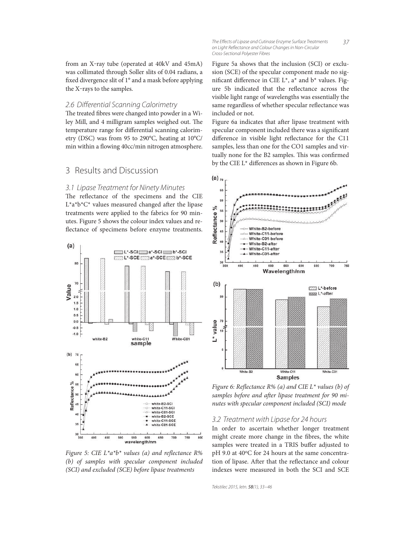from an X-ray tube (operated at 40kV and 45mA) was collimated through Soller slits of 0.04 radians, a fixed divergence slit of 1° and a mask before applying the X-rays to the samples.

#### 2.6 Differential Scanning Calorimetry

The treated fibres were changed into powder in a Wiley Mill, and 4 milligram samples weighed out. The temperature range for differential scanning calorimetry (DSC) was from 95 to 290°C, heating at 10°C/ min within a flowing 40cc/min nitrogen atmosphere.

## 3 Results and Discussion

#### *3.1 Lipase Treatment for Ninety Minutes*

The reflectance of the specimens and the CIE  $L^*a^*b^*C^*$  values measured changed after the lipase treatments were applied to the fabrics for 90 minutes. Figure 5 shows the colour index values and re flectance of specimens before enzyme treatments.



Figure 5: CIE  $L^*a^*b^*$  values (a) and reflectance R% (b) of samples with specular component included (SCI) and excluded (SCE) before lipase treatments

*37 The Eff ects of Lipase and Cutinase Enzyme Surface Treatments on Light Refl ectance and Colour Changes in Non-Circular Cross-Sectional Polyester Fibres*

Figure 5a shows that the inclusion (SCI) or exclusion (SCE) of the specular component made no significant difference in CIE L\*,  $a^*$  and  $b^*$  values. Figure 5b indicated that the reflectance across the visible light range of wavelengths was essentially the same regardless of whether specular reflectance was included or not.

Figure 6a indicates that after lipase treatment with specular component included there was a significant difference in visible light reflectance for the C11 samples, less than one for the CO1 samples and virtually none for the B2 samples. This was confirmed by the CIE  $L^*$  differences as shown in Figure 6b.



Figure 6: Reflectance R% (a) and CIE L\* values (b) of samples before and after lipase treatment for 90 minutes with specular component included (SCI) mode

#### *3.2 Treatment with Lipase for 24 hours*

In order to ascertain whether longer treatment might create more change in the fibres, the white samples were treated in a TRIS buffer adjusted to pH 9.0 at 40°C for 24 hours at the same concentration of lipase. After that the reflectance and colour indexes were measured in both the SCI and SCE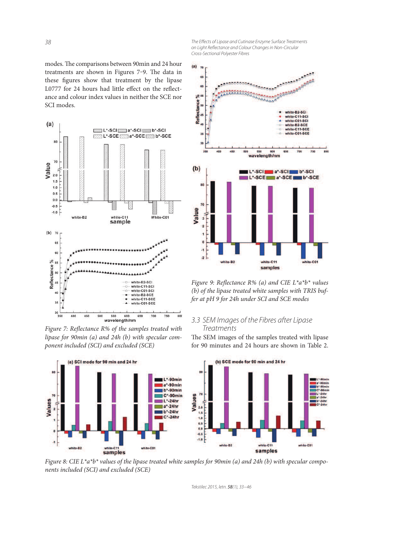modes. The comparisons between 90min and 24 hour treatments are shown in Figures 7-9. The data in these figures show that treatment by the lipase L0777 for 24 hours had little effect on the reflectance and colour index values in neither the SCE nor SCI modes.



Figure 7: Reflectance R% of the samples treated with lipase for 90min (a) and 24h (b) with specular component included (SCI) and excluded (SCE)



*The Eff ects of Lipase and Cutinase Enzyme Surface Treatments on Light Refl ectance and Colour Changes in Non-Circular Cross-Sectional Polyester Fibres*



Figure 9: Reflectance R% (a) and CIE  $L^*a^*b^*$  values (b) of the lipase treated white samples with TRIS buffer at pH 9 for 24h under SCI and SCE modes

### *3.3 SEM Images of the Fibres after Lipase Treatments*

The SEM images of the samples treated with lipase for 90 minutes and 24 hours are shown in Table 2.



Figure 8: CIE L\*a\*b\* values of the lipase treated white samples for 90min (a) and 24h (b) with specular components included (SCI) and excluded (SCE)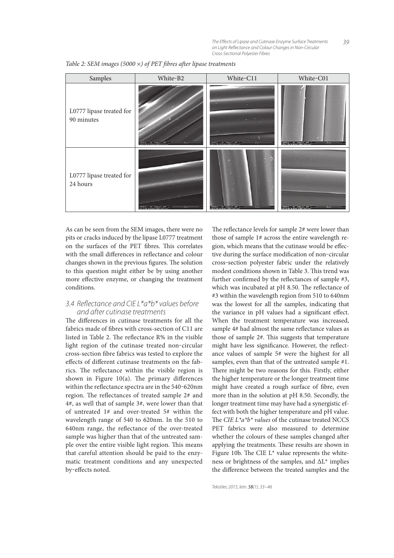| Samples                                | White-B2                                         | White-C11                                    | White-C01                                             |  |
|----------------------------------------|--------------------------------------------------|----------------------------------------------|-------------------------------------------------------|--|
| L0777 lipase treated for<br>90 minutes |                                                  | B<br>DW   La gent   Wa   Critical            | 34/2013 HV mag El WD<br>23051 PM 2000 kV 5000 x 109m  |  |
| L0777 lipase treated for<br>24 hours   | 31/2013<br>W<br><b>∴</b> mag ⊑ MD<br>4-44-45-044 | $\dot{\mathbf{z}}$<br>3/5/2013 HV mag cal WD | 302013 HV mag cal WD<br>21134 PM 2000 kV 5000 x 105 m |  |

Table 2: SEM images (5000  $\times$ ) of PET fibres after lipase treatments

As can be seen from the SEM images, there were no pits or cracks induced by the lipase L0777 treatment on the surfaces of the PET fibres. This correlates with the small differences in reflectance and colour changes shown in the previous figures. The solution to this question might either be by using another more effective enzyme, or changing the treatment conditions.

## *3.4 Refl ectance and CIE L\*a\*b\* values before and after cutinase treatments*

The differences in cutinase treatments for all the fabrics made of fibres with cross-section of C11 are listed in Table 2. The reflectance R% in the visible light region of the cutinase treated non-circular cross-section fibre fabrics was tested to explore the effects of different cutinase treatments on the fabrics. The reflectance within the visible region is shown in Figure 10(a). The primary differences within the reflectance spectra are in the 540-620nm region. The reflectances of treated sample 2# and 4#, as well that of sample 3#, were lower than that of untreated 1# and over-treated 5# within the wavelength range of 540 to 620nm. In the 510 to 640nm range, the reflectance of the over-treated sample was higher than that of the untreated sample over the entire visible light region. This means that careful attention should be paid to the enzymatic treatment conditions and any unexpected by-effects noted.

The reflectance levels for sample  $2#$  were lower than those of sample 1# across the entire wavelength region, which means that the cutinase would be effective during the surface modification of non-circular cross‒section polyester fabric under the relatively modest conditions shown in Table 3. This trend was further confirmed by the reflectances of sample  $#3$ , which was incubated at  $pH$  8.50. The reflectance of #3 within the wavelength region from 510 to 640nm was the lowest for all the samples, indicating that the variance in pH values had a significant effect. When the treatment temperature was increased, sample 4# had almost the same reflectance values as those of sample  $2#$ . This suggests that temperature might have less significance. However, the reflectance values of sample 5# were the highest for all samples, even than that of the untreated sample #1. There might be two reasons for this. Firstly, either the higher temperature or the longer treatment time might have created a rough surface of fibre, even more than in the solution at pH 8.50. Secondly, the longer treatment time may have had a synergistic effect with both the higher temperature and pH value. The CIE  $L^*a^*b^*$  values of the cutinase treated NCCS PET fabrics were also measured to determine whether the colours of these samples changed after applying the treatments. These results are shown in Figure 10b. The CIE  $L^*$  value represents the whiteness or brightness of the samples, and ΔL\* implies the difference between the treated samples and the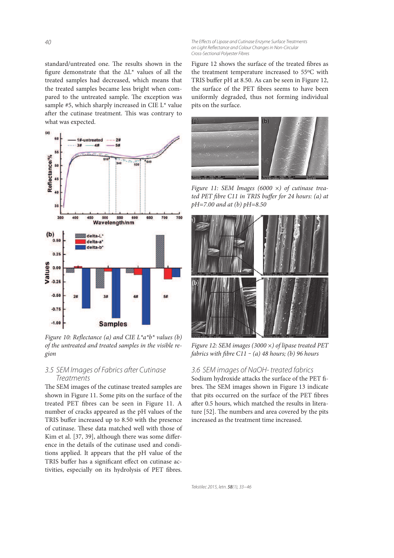*The Effects of Lipase and Cutinase Enzyme Surface Treatments* on Light Reflectance and Colour Changes in Non-Circular *Cross-Sectional Polyester Fibres*

standard/untreated one. The results shown in the figure demonstrate that the  $\Delta L^*$  values of all the treated samples had decreased, which means that the treated samples became less bright when compared to the untreated sample. The exception was sample #5, which sharply increased in CIE L\* value after the cutinase treatment. This was contrary to what was expected.



Figure 10: Reflectance (a) and CIE  $L^*a^*b^*$  values (b) of the untreated and treated samples in the visible region

#### *3.5 SEM Images of Fabrics after Cutinase Treatments*

The SEM images of the cutinase treated samples are shown in Figure 11. Some pits on the surface of the treated PET fibres can be seen in Figure 11. A number of cracks appeared as the pH values of the TRIS buffer increased up to 8.50 with the presence of cutinase. These data matched well with those of Kim et al.  $[37, 39]$ , although there was some difference in the details of the cutinase used and conditions applied. It appears that the pH value of the TRIS buffer has a significant effect on cutinase activities, especially on its hydrolysis of PET fibres. Figure 12 shows the surface of the treated fibres as the treatment temperature increased to 55°C with TRIS buffer pH at 8.50. As can be seen in Figure 12, the surface of the PET fibres seems to have been uniformly degraded, thus not forming individual pits on the surface.



Figure 11: SEM Images (6000  $\times$ ) of cutinase treated PET fibre C11 in TRIS buffer for 24 hours: (a) at  $pH = 7.00$  and at (b)  $pH = 8.50$ 



Figure 12: SEM images (3000  $\times$ ) of lipase treated PET fabrics with fibre C11 - (a) 48 hours; (b) 96 hours

#### *3.6 SEM images of NaOH- treated fabrics*

Sodium hydroxide attacks the surface of the PET fibres. The SEM images shown in Figure 13 indicate that pits occurred on the surface of the PET fibres after 0.5 hours, which matched the results in literature [52]. The numbers and area covered by the pits increased as the treatment time increased.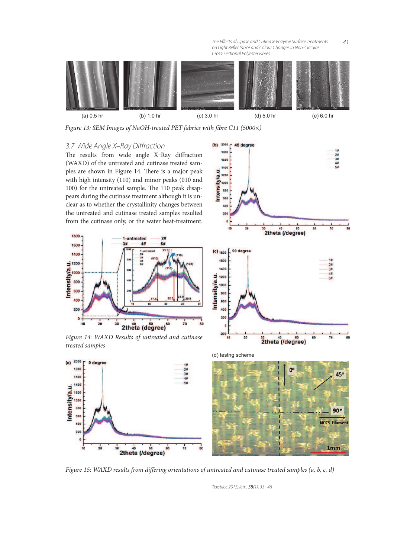*The Eff ects of Lipase and Cutinase Enzyme Surface Treatments on Light Refl ectance and Colour Changes in Non-Circular Cross-Sectional Polyester Fibres*



(b)  $2000 -$ 

Intensity/a.u. 120 100 80 600  $40<sub>1</sub>$  $\overline{20}$ 

45 degree

 $\overline{20}$ 

Figure 13: SEM Images of NaOH-treated PET fabrics with fibre C11 (5000×)

## *3.7 Wide Angle X–Ray Diff raction*

The results from wide angle X-Ray diffraction (WAXD) of the untreated and cutinase treated samples are shown in Figure 14. There is a major peak with high intensity (110) and minor peaks (010 and 100) for the untreated sample. The 110 peak disappears during the cutinase treatment although it is unclear as to whether the crystallinity changes between the untreated and cutinase treated samples resulted from the cutinase only, or the water heat-treatment.



Figure 14: WAXD Results of untreated and cutinase treated samples



 $rac{30}{2}$ theta (/degree)

60



Figure 15: WAXD results from differing orientations of untreated and cutinase treated samples (a, b, c, d)

*Tekstilec 2015, letn.* 58*(1), 33−46*

*41*

 $24$ <br> $34$ <br> $44$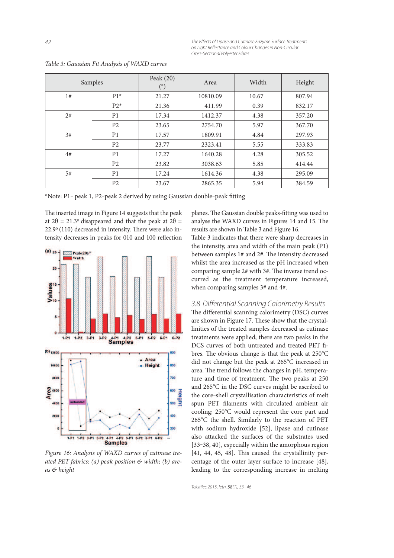*The Effects of Lipase and Cutinase Enzyme Surface Treatments* on Light Reflectance and Colour Changes in Non-Circular *Cross-Sectional Polyester Fibres*

| Samples |                | Peak $(2\theta)$<br>$(^\circ)$ | Area     | Width | Height |
|---------|----------------|--------------------------------|----------|-------|--------|
| 1#      | $P1*$          | 21.27                          | 10810.09 | 10.67 | 807.94 |
|         | $P2*$          | 21.36                          | 411.99   | 0.39  | 832.17 |
| 2#      | P <sub>1</sub> | 17.34                          | 1412.37  | 4.38  | 357.20 |
|         | P <sub>2</sub> | 23.65                          | 2754.70  | 5.97  | 367.70 |
| 3#      | P <sub>1</sub> | 17.57                          | 1809.91  | 4.84  | 297.93 |
|         | P <sub>2</sub> | 23.77                          | 2323.41  | 5.55  | 333.83 |
| 4#      | P <sub>1</sub> | 17.27                          | 1640.28  | 4.28  | 305.52 |
|         | P <sub>2</sub> | 23.82                          | 3038.63  | 5.85  | 414.44 |
| 5#      | P <sub>1</sub> | 17.24                          | 1614.36  | 4.38  | 295.09 |
|         | P <sub>2</sub> | 23.67                          | 2865.35  | 5.94  | 384.59 |

Table 3: Gaussian Fit Analysis of WAXD curves

\*Note: P1‒ peak 1, P2‒peak 2 derived by using Gaussian double‒peak tting

The inserted image in Figure 14 suggests that the peak at  $2\theta = 21.3$ <sup>o</sup> disappeared and that the peak at  $2\theta =$  $22.9^{\circ}$  (110) decreased in intensity. There were also intensity decreases in peaks for 010 and 100 reflection



Figure 16: Analysis of WAXD curves of cutinase treated PET fabrics: (a) peak position  $\mathfrak{G}$  width; (b) areas & height

planes. The Gaussian double peaks-fitting was used to analyse the WAXD curves in Figures 14 and 15. The results are shown in Table 3 and Figure 16.

Table 3 indicates that there were sharp decreases in the intensity, area and width of the main peak (P1) between samples  $1#$  and  $2#$ . The intensity decreased whilst the area increased as the pH increased when comparing sample  $2#$  with  $3#$ . The inverse trend occurred as the treatment temperature increased, when comparing samples 3# and 4#.

## *3.8 Diff erential Scanning Calorimetry Results*

The differential scanning calorimetry (DSC) curves are shown in Figure 17. These show that the crystallinities of the treated samples decreased as cutinase treatments were applied; there are two peaks in the DCS curves of both untreated and treated PET fibres. The obvious change is that the peak at  $250^{\circ}$ C did not change but the peak at 265°C increased in area. The trend follows the changes in pH, temperature and time of treatment. The two peaks at 250 and 265°C in the DSC curves might be ascribed to the core-shell crystallisation characteristics of melt spun PET filaments with circulated ambient air cooling; 250°C would represent the core part and 265°C the shell. Similarly to the reaction of PET with sodium hydroxide [52], lipase and cutinase also attacked the surfaces of the substrates used [33-38, 40], especially within the amorphous region  $[41, 44, 45, 48]$ . This caused the crystallinity percentage of the outer layer surface to increase [48], leading to the corresponding increase in melting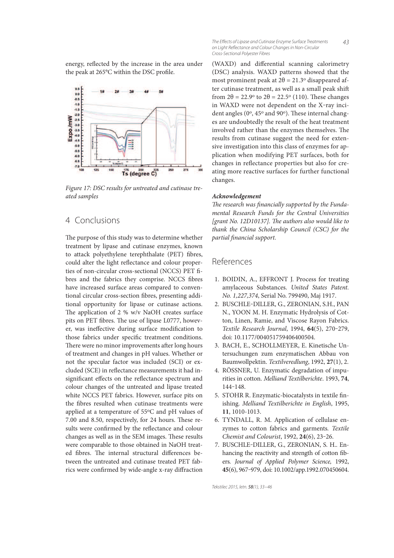energy, reflected by the increase in the area under the peak at 265°C within the DSC profile.



Figure 17: DSC results for untreated and cutinase treated samples

## 4 Conclusions

The purpose of this study was to determine whether treatment by lipase and cutinase enzymes, known to attack polyethylene terephthalate (PET) fibres, could alter the light reflectance and colour properties of non-circular cross-sectional (NCCS) PET fibres and the fabrics they comprise. NCCS fibres have increased surface areas compared to conventional circular cross-section fibres, presenting additional opportunity for lipase or cutinase actions. The application of 2 % w/v NaOH creates surface pits on PET fibres. The use of lipase L0777, however, was ineffective during surface modification to those fabrics under specific treatment conditions. There were no minor improvements after long hours of treatment and changes in pH values. Whether or not the specular factor was included (SCI) or excluded (SCE) in reflectance measurements it had insignificant effects on the reflectance spectrum and colour changes of the untreated and lipase treated white NCCS PET fabrics. However, surface pits on the fibres resulted when cutinase treatments were applied at a temperature of 55°C and pH values of  $7.00$  and  $8.50$ , respectively, for 24 hours. These results were confirmed by the reflectance and colour changes as well as in the SEM images. These results were comparable to those obtained in NaOH treated fibres. The internal structural differences between the untreated and cutinase treated PET fabrics were confirmed by wide-angle x-ray diffraction

*43 The Eff ects of Lipase and Cutinase Enzyme Surface Treatments on Light Refl ectance and Colour Changes in Non-Circular Cross-Sectional Polyester Fibres*

(WAXD) and differential scanning calorimetry (DSC) analysis. WAXD patterns showed that the most prominent peak at  $2\theta = 21.3^\circ$  disappeared after cutinase treatment, as well as a small peak shi from  $2\theta = 22.9^\circ$  to  $2\theta = 22.5^\circ$  (110). These changes in WAXD were not dependent on the X-ray incident angles (0°, 45° and 90°). These internal changes are undoubtedly the result of the heat treatment involved rather than the enzymes themselves. The results from cutinase suggest the need for extensive investigation into this class of enzymes for application when modifying PET surfaces, both for changes in reflectance properties but also for creating more reactive surfaces for further functional changes.

#### **Acknowledgement**

The research was financially supported by the Fundamental Research Funds for the Central Universities  $[grant No. 12D10137]$ . The authors also would like to thank the China Scholarship Council (CSC) for the partial financial support.

## References

- 1. BOIDIN, A., EFFRONT J. Process for treating amylaceous Substances. United States Patent. No. 1,227,374, Serial No. 799490, Maj 1917.
- 2. BUSCHLE-DILLER, G., ZERONIAN, S.H., PAN N., YOON M. H. Enzymatic Hydrolysis of Cotton, Linen, Ramie, and Viscose Rayon Fabrics. Textile Research Journal, 1994, 64(5), 270-279, doi: 10.1177/004051759406400504.
- 3. BACH, E., SCHOLLMEYER, E. Kinetische Untersuchungen zum enzymatischen Abbau von Baumwollpektin. Textilveredlung, 1992, **27**(1), 2.
- 4. RÖSSNER, U. Enzymatic degradation of impurities in cotton. Melliand Textilberichte. 1993, **74**, 144‒148.
- 5. STOHR R. Enzymatic-biocatalysts in textile finishing. Melliand Textilberichte in English, 1995, **11**, 1010-1013.
- 6. TYNDALL, R. M. Application of cellulase enzymes to cotton fabrics and garments. Textile Chemist and Colourist, 1992, **24**(6), 23‒26.
- 7. BUSCHLE-DILLER, G., ZERONIAN, S. H.. Enhancing the reactivity and strength of cotton fibers. Journal of Applied Polymer Science, 1992, **45**(6), 967‒979, doi: 10.1002/app.1992.070450604.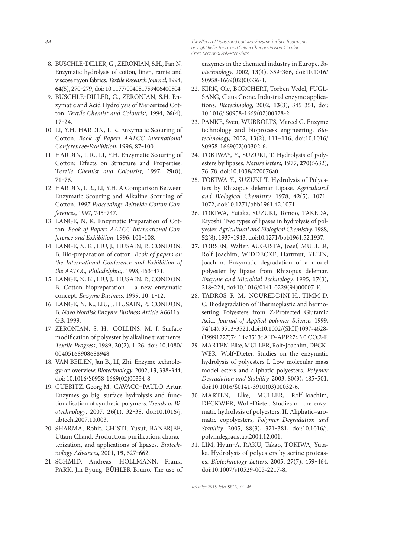- 8. BUSCHLE-DILLER, G., ZERONIAN, S.H., Pan N. Enzymatic hydrolysis of cotton, linen, ramie and viscose rayon fabrics. Textile Research Journal, 1994, **64**(5), 270‒279, doi: 10.1177/004051759406400504.
- 9. BUSCHLE-DILLER, G., ZERONIAN, S.H. Enzymatic and Acid Hydrolysis of Mercerized Cotton. Textile Chemist and Colourist, 1994, **26**(4),  $17 - 24$ .
- 10. LI, Y.H. HARDIN, I. R. Enzymatic Scouring of Cotton. Book of Papers AATCC International Conference&Exhibition, 1996, 87-100.
- 11. HARDIN, I. R., LI, Y.H. Enzymatic Scouring of Cotton: Effects on Structure and Properties. Textile Chemist and Colourist, 1997, **29**(8),  $71 - 76.$
- 12. HARDIN, I. R., LI, Y.H. A Comparison Between Enzymatic Scouring and Alkaline Scouring of Cotton. 1997 Proceedings Beltwide Cotton Conferences, 1997, 745-747.
- 13. LANGE, N. K. Enzymatic Preparation of Cotton. Book of Papers AATCC International Conference and Exhibition, 1996, 101-108.
- 14. LANGE, N. K., LIU, J., HUSAIN, P., CONDON. B. Bio-preparation of cotton. Book of papers on the International Conference and Exhibition of the AATCC, Philadelphia,. 1998, 463-471.
- 15. LANGE, N. K., LIU, J., HUSAIN, P., CONDON. B. Cotton biopreparation – a new enzymatic concept. Enzyme Business. 1999, **10**, 1‒12.
- 16. LANGE, N. K., LIU, J. HUSAIN, P., CONDON, B. Novo Nordisk Enzyme Business Article A6611a-GB, 1999.
- 17. ZERONIAN, S. H., COLLINS, M. J. Surface modification of polyester by alkaline treatments. Textile Progress, 1989, **20**(2), 1-26, doi: 10.1080/ 00405168908688948.
- 18. VAN BEILEN, Jan B., LI, Zhi. Enzyme technology: an overview. Biotechnology, 2002, **13**, 338‒344, doi: 10.1016/S0958-1669(02)00334-8.
- 19. GUEBITZ, Georg M., CAVACO-PAULO, Artur. Enzymes go big: surface hydrolysis and functionalisation of synthetic polymers. Trends in Biotechnology, 2007, **26**(1), 32‒38, doi:10.1016/j. tibtech.2007.10.003.
- 20. SHARMA, Rohit, CHISTI, Yusuf, BANERJEE, Uttam Chand. Production, purification, characterization, and applications of lipases. Biotechnology Advances, 2001, **19**, 627‒662.
- 21. SCHMID, Andreas, HOLLMANN, Frank, PARK, Jin Byung, BÜHLER Bruno. The use of

*The Eff ects of Lipase and Cutinase Enzyme Surface Treatments*  on Light Reflectance and Colour Changes in Non-Circular *Cross-Sectional Polyester Fibres*

enzymes in the chemical industry in Europe. Biotechnology, 2002, **13**(4), 359‒366, doi:10.1016/ S0958-1669(02)00336-1.

- 22. KIRK, Ole, BORCHERT, Torben Vedel, FUGL-SANG, Claus Crone. Industrial enzyme applications. Biotechnolog, 2002, **13**(3), 345‒351, doi: 10.1016/ S0958-1669(02)00328-2.
- 23. PANKE, Sven, WUBBOLTS, Marcel G. Enzyme technology and bioprocess engineering, Biotechnology, 2002, **13**(2), 111–116, doi:10.1016/ S0958-1669(02)00302-6**.**
- 24. TOKIWAY, Y., SUZUKI, T. Hydrolysis of polyesters by lipases. Nature letters, 1977, **270**(5632), 76‒78. doi:10.1038/270076a0.
- 25. TOKIWA Y., SUZUKI T. Hydrolysis of Polyesters by Rhizopus delemar Lipase. Agricultural and Biological Chemistry, 1978, 42(5), 1071-1072, doi:10.1271/bbb1961.42.1071.
- 26. TOKIWA, Yutaka, SUZUKI, Tomoo, TAKEDA, Kiyoshi. Two types of lipases in hydrolysis of polyester. Agricultural and Biological Chemistry, 1988, **52**(8), 1937‒1943, doi:10.1271/bbb1961.52.1937.
- **27.** TORSEN, Walter, AUGUSTA, Josef, MULLER, Rolf‒Joachim, WIDDECKE, Hartmut, KLEIN, Joachim. Enzymatic degradation of a model polyester by lipase from Rhizopus delemar, Enayme and Microbial Technology. 1995, **17**(3), 218‒224, doi:10.1016/0141-0229(94)00007-E.
- 28. TADROS, R. M., NOUREDDINI H., TIMM D. C. Biodegradation of Thermoplastic and hermosetting Polyesters from Z-Protected Glutamic Acid. Journal of Applied polymer Science, 1999, **74**(14), 3513‒3521, doi:10.1002/(SICI)1097-4628- (19991227)74:14<3513::AID-APP27>3.0.CO;2-F.
- 29. MARTEN, Elke, MULLER, Rolf-Joachim, DECK-WER, Wolf-Dieter. Studies on the enzymatic hydrolysis of polyesters I. Low molecular mass model esters and aliphatic polyesters. Polymer Degradation and Stability, 2003, 80(3), 485-501, doi:10.1016/S0141-3910(03)00032-6.
- 30. MARTEN, Elke, MULLER, Rolf-Joachim, DECKWER, Wolf-Dieter. Studies on the enzymatic hydrolysis of polyesters. II. Aliphatic–aromatic copolyesters, Polymer Degradation and Stability. 2005, 88(3), 371-381, doi:10.1016/j. polymdegradstab.2004.12.001.
- 31. LIM, Hyun-A, RAKU, Takao, TOKIWA, Yutaka. Hydrolysis of polyesters by serine proteases. Biotechnology Letters. 2005, 27(7), 459-464, doi:10.1007/s10529-005-2217-8.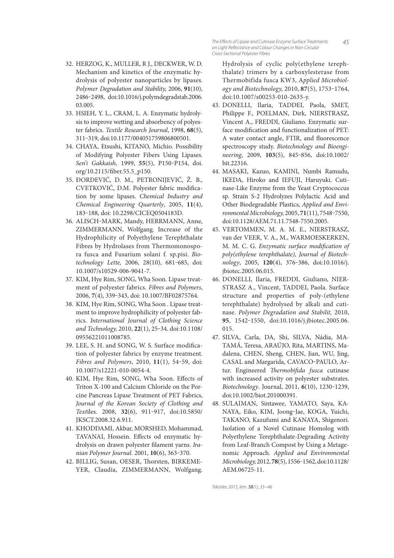- 32. HERZOG, K., MULLER, R J., DECKWER, W. D. Mechanism and kinetics of the enzymatic hydrolysis of polyester nanoparticles by lipases. Polymer Degradation and Stability, 2006, **91**(10), 2486‒2498, doi:10.1016/j.polymdegradstab.2006. 03.005.
- 33. HSIEH, Y. L., CRAM, L. A. Enzymatic hydrolysis to improve wetting and absorbency of polyester fabrics. Textile Research Journal, 1998, **68**(5), 311‒319, doi:10.1177/004051759806800501.
- 34. CHAYA, Etsushi, KITANO, Michio. Possibility of Modifying Polyester Fibers Using Lipases. Sen'i Gakkaish, 1999, 55(5), P150-P154, doi. org/10.2115/fiber.55.5\_p150.
- 35. ĐORDEVIĆ, D. M., PETRONIJEVIĆ, Ž. B., CVETKOVIĆ, D.M. Polyester fabric modification by some lipases. Chemical Industry and Chemical Engineering Quarterly, 2005, **11**(4), 183‒188, doi: 10.2298/CICEQ0504183D.
- 36. ALISCH-MARK, Mandy, HERRMANN, Anne, ZIMMERMANN, Wolfgang. Increase of the Hydrophilicity of Polyethylene Terephthalate Fibres by Hydrolases from Thermomonospora fusca and Fusarium solani f. sp.pisi. Biotechnology Lette, 2006, 28(10), 681-685, doi: 10.1007/s10529-006-9041-7.
- 37. KIM, Hye Rim, SONG, Wha Soon. Lipase treatment of polyester fabrics. Fibres and Polymers, 2006, **7**(4), 339‒343, doi: 10.1007/BF02875764.
- 38. KIM, Hye Rim, SONG, Wha Soon . Lipase treatment to improve hydrophilicity of polyester fabrics. International Journal of Clothing Science and Technology, 2010, **22**(1), 25‒34. doi:10.1108/ 09556221011008785.
- 39. LEE, S. H. and SONG, W. S. Surface modification of polyester fabrics by enzyme treatment. Fibres and Polymers, 2010, **11**(1), 54‒59, doi: 10.1007/s12221-010-0054-4.
- 40. KIM, Hye Rim, SONG, Wha Soon. Effects of Triton X-100 and Calcium Chloride on the Porcine Pancreas Lipase Treatment of PET Fabrics, Journal of the Korean Society of Clothing and Textiles. 2008, **32**(6), 911‒917, doi:10.5850/ JKSCT.2008.32.6.911.
- 41. KHODDAMI, Akbar, MORSHED, Mohammad, TAVANAI, Hossein. Effects od enzymatic hydrolysis on drawn polyester filament yarns. Iranian Polymer Journal. 2001, **10**(6), 363‒370.
- 42. BILLIG, Susan, OESER, Thorsten, BIRKEME-YER, Claudia, ZIMMERMANN, Wolfgang.

Hydrolysis of cyclic poly(ethylene terephthalate) trimers by a carboxylesterase from Thermobifida fusca KW3, Applied Microbiology and Biotechnology, 2010, **87**(5), 1753‒1764, doi:10.1007/s00253-010-2635-y.

*45*

- 43. DONELLI, Ilaria, TADDEI, Paola, SMET, Philippe F., POELMAN, Dirk, NIERSTRASZ, Vincent A., FREDDI, Giuliano. Enzymatic surface modification and functionalization of PET: A water contact angle, FTIR, and fluorescence spectroscopy study. Biotechnology and Bioengineering, 2009, **103**(5), 845‒856, doi:10.1002/ bit.22316.
- 44. MASAKI, Kazuo, KAMINI, Numbi Ramudu, IKEDA, Hiroko and IEFUJI, Haruyuki. Cutinase-Like Enzyme from the Yeast Cryptococcus sp. Strain S-2 Hydrolyzes Polylactic Acid and Other Biodegradable Plastics, Applied and Environmental Microbiology, 2005, **71**(11), 7548‒7550, doi:10.1128/AEM.71.11.7548-7550.2005.
- 45. VERTOMMEN, M. A. M. E., NIERSTRASZ, van der VEER, V. A., M., WARMOESKERKEN, M. M. C. G. Enzymatic surface modification of poly(ethylene terephthalate), Journal of Biotechnology, 2005, **120**(4), 376‒386, doi:10.1016/j. jbiotec.2005.06.015.
- 46. DONELLI, Ilaria, FREDDI, Giuliano, NIER-STRASZ A., Vincent, TADDEI, Paola. Surface structure and properties of poly-(ethylene terephthalate) hydrolysed by alkali and cutinase. Polymer Degradation and Stabilit, 2010, **95**, 1542‒1550, doi:10.1016/j.jbiotec.2005.06. 015.
- 47. SILVA, Carla, DA, Shi, SILVA, Nádia, MA-TAMÁ, Teresa, ARAÚJO, Rita, MARTINS, Madalena, CHEN, Sheng, CHEN, Jian, WU, Jing, CASAL and Margarida, CAVACO-PAULO, Artur. Engineered Thermobifida fusca cutinase with increased activity on polyester substrates. Biotechnology. Journal, 2011, 6(10), 1230-1239, doi:10.1002/biot.201000391.
- 48. SULAIMAN, Sintawee, YAMATO, Saya, KA-NAYA, Eiko, KIM, Joong-Jae, KOGA, Yuichi, TAKANO, Kazufumi and KANAYA, Shigenori. Isolation of a Novel Cutinase Homolog with Polyethylene Terephthalate-Degrading Activity from Leaf-Branch Compost by Using a Metagenomic Approach. Applied and Environmental Microbiology, 2012, **78**(5), 1556‒1562, doi:10.1128/ AEM.06725-11.